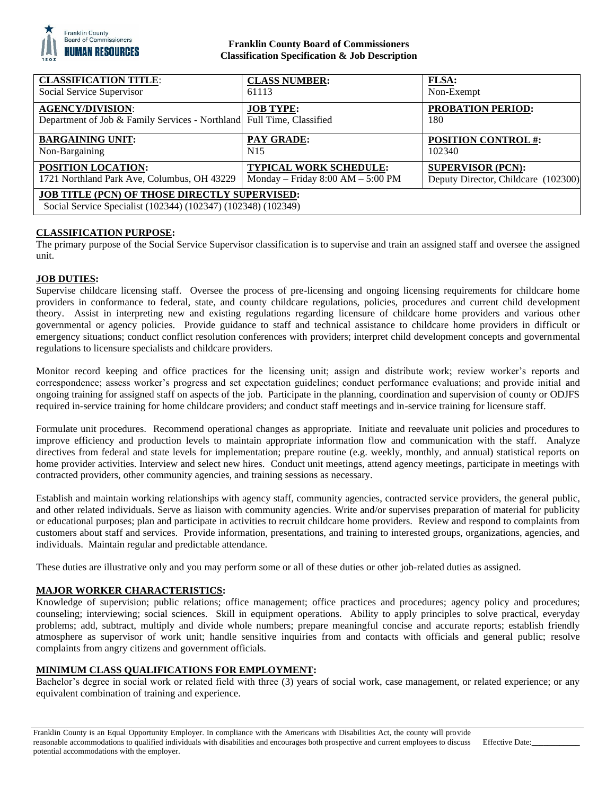

## **Franklin County Board of Commissioners Classification Specification & Job Description**

| <b>CLASSIFICATION TITLE:</b>                                                                                          | <b>CLASS NUMBER:</b>                | <b>FLSA:</b>                        |
|-----------------------------------------------------------------------------------------------------------------------|-------------------------------------|-------------------------------------|
| Social Service Supervisor                                                                                             | 61113                               | Non-Exempt                          |
| <b>AGENCY/DIVISION:</b><br>Department of Job & Family Services - Northland Full Time, Classified                      | <b>JOB TYPE:</b>                    | <b>PROBATION PERIOD:</b><br>180     |
| <b>BARGAINING UNIT:</b>                                                                                               | PAY GRADE:                          | <b>POSITION CONTROL #:</b>          |
| Non-Bargaining                                                                                                        | N <sub>15</sub>                     | 102340                              |
| <b>POSITION LOCATION:</b>                                                                                             | <b>TYPICAL WORK SCHEDULE:</b>       | <b>SUPERVISOR (PCN):</b>            |
| 1721 Northland Park Ave, Columbus, OH 43229                                                                           | Monday – Friday $8:00 AM - 5:00 PM$ | Deputy Director, Childcare (102300) |
| <b>JOB TITLE (PCN) OF THOSE DIRECTLY SUPERVISED:</b><br>Social Service Specialist (102344) (102347) (102348) (102349) |                                     |                                     |

# **CLASSIFICATION PURPOSE:**

The primary purpose of the Social Service Supervisor classification is to supervise and train an assigned staff and oversee the assigned unit.

## **JOB DUTIES:**

Supervise childcare licensing staff. Oversee the process of pre-licensing and ongoing licensing requirements for childcare home providers in conformance to federal, state, and county childcare regulations, policies, procedures and current child development theory. Assist in interpreting new and existing regulations regarding licensure of childcare home providers and various other governmental or agency policies. Provide guidance to staff and technical assistance to childcare home providers in difficult or emergency situations; conduct conflict resolution conferences with providers; interpret child development concepts and governmental regulations to licensure specialists and childcare providers.

Monitor record keeping and office practices for the licensing unit; assign and distribute work; review worker's reports and correspondence; assess worker's progress and set expectation guidelines; conduct performance evaluations; and provide initial and ongoing training for assigned staff on aspects of the job. Participate in the planning, coordination and supervision of county or ODJFS required in-service training for home childcare providers; and conduct staff meetings and in-service training for licensure staff.

Formulate unit procedures. Recommend operational changes as appropriate. Initiate and reevaluate unit policies and procedures to improve efficiency and production levels to maintain appropriate information flow and communication with the staff. Analyze directives from federal and state levels for implementation; prepare routine (e.g. weekly, monthly, and annual) statistical reports on home provider activities. Interview and select new hires. Conduct unit meetings, attend agency meetings, participate in meetings with contracted providers, other community agencies, and training sessions as necessary.

Establish and maintain working relationships with agency staff, community agencies, contracted service providers, the general public, and other related individuals. Serve as liaison with community agencies. Write and/or supervises preparation of material for publicity or educational purposes; plan and participate in activities to recruit childcare home providers. Review and respond to complaints from customers about staff and services. Provide information, presentations, and training to interested groups, organizations, agencies, and individuals. Maintain regular and predictable attendance.

These duties are illustrative only and you may perform some or all of these duties or other job-related duties as assigned.

## **MAJOR WORKER CHARACTERISTICS:**

Knowledge of supervision; public relations; office management; office practices and procedures; agency policy and procedures; counseling; interviewing; social sciences. Skill in equipment operations. Ability to apply principles to solve practical, everyday problems; add, subtract, multiply and divide whole numbers; prepare meaningful concise and accurate reports; establish friendly atmosphere as supervisor of work unit; handle sensitive inquiries from and contacts with officials and general public; resolve complaints from angry citizens and government officials.

## **MINIMUM CLASS QUALIFICATIONS FOR EMPLOYMENT:**

Bachelor's degree in social work or related field with three (3) years of social work, case management, or related experience; or any equivalent combination of training and experience.

Franklin County is an Equal Opportunity Employer. In compliance with the Americans with Disabilities Act, the county will provide reasonable accommodations to qualified individuals with disabilities and encourages both prospective and current employees to discuss potential accommodations with the employer.

Effective Date: